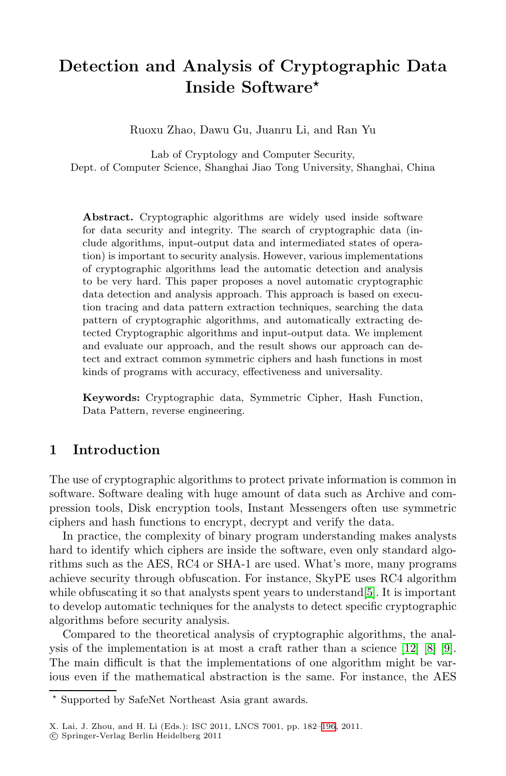# **Detection and Analysis of Cryptographic Data Inside Software***-*

Ruoxu Zhao, Dawu Gu, Juanru Li, and Ran Yu

Lab of Cryptology and Computer Security, Dept. of Computer Science, Shanghai Jiao Tong University, Shanghai, China

**Abstract.** Cryptographic algorithms are widely used inside software for data security and integrity. The search of cryptographic data (include algorithms, input-output data and intermediated states of operation) is important to security analysis. However, various implementations of cryptographic algorithms lead the automatic detection and analysis to be very hard. This paper proposes a novel automatic cryptographic data detection and analysis approach. This approach is based on execution tracing and data pattern extraction techniques, searching the data pattern of cryptographic algorithms, and automatically extracting detected Cryptographic algorithms and input-output data. We implement and evaluate our approach, and the result shows our approach can detect and extract common symmetric ciphers and hash functions in most kinds of programs with accuracy, effectiveness and universality.

**Keywords:** Cryptographic data, Symmetric Cipher, Hash Function, Data Pattern, reverse engineering.

## **1 Introduction**

The use of cryptographic algorithms to pro[tec](#page-14-0)t private information is common in software. Software dealing with huge amount of data such as Archive and compression tools, Disk encryption tools, Instant Messengers often use symmetric ciphers and hash functions to encrypt, decrypt and verify the data.

In practice, the complexity of binary program [und](#page-14-1)e[rst](#page-14-2)[and](#page-14-3)ing makes analysts hard to identify which ciphers are inside the software, even only standard algorithms such as the AES, RC4 or SHA-1 are used. What's more, many programs achieve security through obfuscation. For instance, SkyPE uses RC4 algorithm while obfuscating it so that analysts spent years to understand[5]. It is important to develop automatic techniques for the analysts to detect specific cryptographic algorithms before security analysi[s.](#page-14-4)

Compared to the theoretical analysis of cryptographic algorithms, the analysis of the implementation is at most a craft rather than a science [12] [8] [9]. The main difficult is that the implementations of one algorithm might be various even if the mathematical abstraction is the same. For instance, the AES

<sup>-</sup> Supported by SafeNet Northeast Asia grant awards.

X. Lai, J. Zhou, and H. Li (Eds.): ISC 2011, LNCS 7001, pp. 182–196, 2011.

<sup>-</sup>c Springer-Verlag Berlin Heidelberg 2011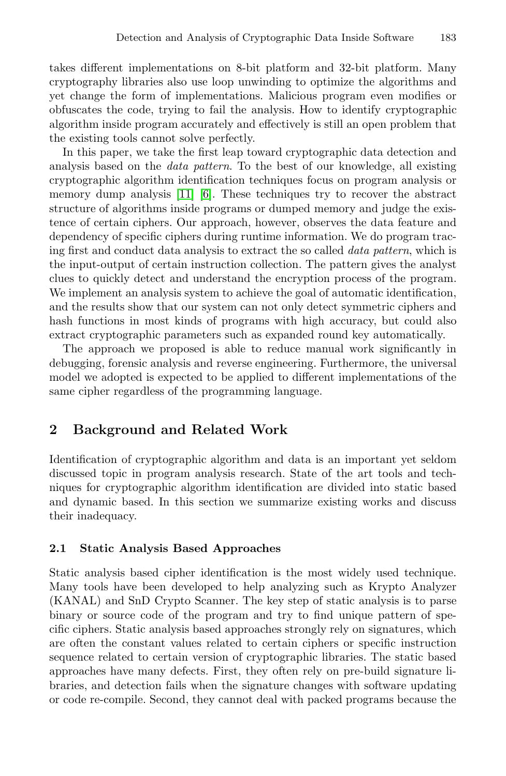takes different implementations on 8-bit platform and 32-bit platform. Many crypt[ogra](#page-14-5)[phy](#page-14-6) libraries also use loop unwinding to optimize the algorithms and yet change the form of implementations. Malicious program even modifies or obfuscates the code, trying to fail the analysis. How to identify cryptographic algorithm inside program accurately and effectively is still an open problem that the existing tools cannot solve perfectly.

In this paper, we take the first leap toward cryptographic data detection and analysis based on the *data pattern*. To the best of our knowledge, all existing cryptographic algorithm identification techniques focus on program analysis or memory dump analysis [11] [6]. These techniques try to recover the abstract structure of algorithms inside programs or dumped memory and judge the existence of certain ciphers. Our approach, however, observes the data feature and dependency of specific ciphers during runtime information. We do program tracing first and conduct data analysis to extract the so called *data pattern*, which is the input-output of certain instruction collection. The pattern gives the analyst clues to quickly detect and understand the encryption process of the program. We implement an analysis system to achieve the goal of automatic identification, and the results show that our system can not only detect symmetric ciphers and hash functions in most kinds of programs with high accuracy, but could also extract cryptographic parameters such as expanded round key automatically.

The approach we proposed is able to reduce manual work significantly in debugging, forensic analysis and reverse engineering. Furthermore, the universal model we adopted is expected to be applied to different implementations of the same cipher regardless of the programming language.

## **2 Background and Related Work**

Identification of cryptographic algorithm and data is an important yet seldom discussed topic in program analysis research. State of the art tools and techniques for cryptographic algorithm identification are divided into static based and dynamic based. In this section we summarize existing works and discuss their inadequacy.

#### **2.1 Static Analysis Based Approaches**

Static analysis based cipher identification is the most widely used technique. Many tools have been developed to help analyzing such as Krypto Analyzer (KANAL) and SnD Crypto Scanner. The key step of static analysis is to parse binary or source code of the program and try to find unique pattern of specific ciphers. Static analysis based approaches strongly rely on signatures, which are often the constant values related to certain ciphers or specific instruction sequence related to certain version of cryptographic libraries. The static based approaches have many defects. First, they often rely on pre-build signature libraries, and detection fails when the signature changes with software updating or code re-compile. Second, they cannot deal with packed programs because the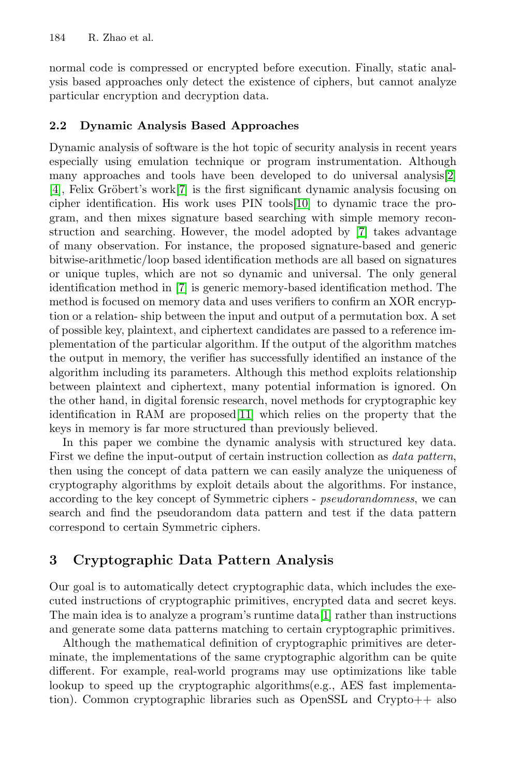normal code is compressed or encrypted before execution[. F](#page-13-0)inally, static analysis b[as](#page-14-7)ed approaches only detect the existence of ciphers, but cannot analyze particular encryption and de[cry](#page-14-8)ption data.

#### **2.2 Dynamic Analysis Based App[roa](#page-14-7)ches**

Dynamic analysis of software is the hot topic of security analysis in recent years especially using emulation technique or program instrumentation. Although many [a](#page-14-7)pproaches and tools have been developed to do universal analysis[2] [4], Felix Gröbert's work[7] is the first significant dynamic analysis focusing on cipher identification. His work uses PIN tools[10] to dynamic trace the program, and then mixes signature based searching with simple memory reconstruction and searching. However, the model adopted by [7] takes advantage of many observation. For instance, the proposed signature-based and generic bitwise-arithmetic/loop based identification methods are all based on signatures or unique tuples, which are not so dynamic and universal. The only general identification method in [7] is generic memory-based identification method. The method is focused [on](#page-14-5) memory data and uses verifiers to confirm an XOR encryption or a relation- ship between the input and output of a permutation box. A set of possible key, plaintext, and ciphertext candidates are passed to a reference implementation of the particular algorithm. If the output of the algorithm matches the output in memory, the verifier has successfully identified an instance of the algorithm including its parameters. Although this method exploits relationship between plaintext and ciphertext, many potential information is ignored. On the other hand, in digital forensic research, novel methods for cryptographic key identification in RAM are proposed[11] which relies on the property that the keys in memory is far more structured than previously believed.

In this paper we combine the dynamic analysis with structured key data. First we define the input-output of certain instruction collection as *data pattern*, then using the concept of data pattern we can easily analyze the uniqueness of cryptography algorithms by exploit details about the algorithms. For instance, according to the key concept of Symmetric ciphers - *pseudorandomness*, we can search and find the pseudorando[m](#page-13-1) data pattern and test if the data pattern correspond to certain Symmetric ciphers.

## **3 Cryptographic Data Pattern Analysis**

Our goal is to automatically detect cryptographic data, which includes the executed instructions of cryptographic primitives, encrypted data and secret keys. The main idea is to analyze a program's runtime data[1] rather than instructions and generate some data patterns matching to certain cryptographic primitives.

Although the mathematical definition of cryptographic primitives are determinate, the implementations of the same cryptographic algorithm can be quite different. For example, real-world programs may use optimizations like table lookup to speed up the cryptographic algorithms(e.g., AES fast implementation). Common cryptographic libraries such as OpenSSL and Crypto++ also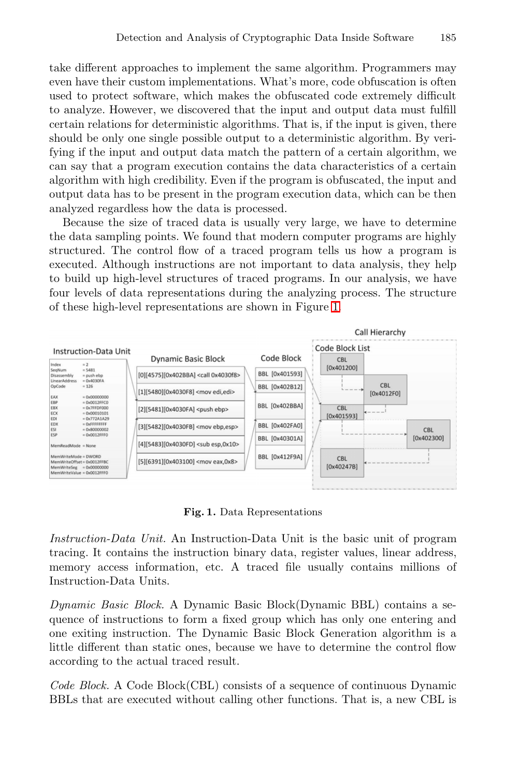take different approaches to implement the same algorithm. Programmers may even have their custom implementations. What's more, code obfuscation is often used to protect software, which makes the obfuscated code extremely difficult to analyze. However, we discovered that the input and output data must fulfill certain relations for deterministic algorithms. That is, if the input is given, there should be only one single possible output to a deterministic algorithm. By verifying if the input and output data match the pattern of a certain algorithm, we can say that a program execution contains the data characteristics of a certain algorithm with high credibility. Even if the program is obfuscated, the input and output data has to be present in the [p](#page-3-0)rogram execution data, which can be then analyzed regardless how the data is processed.

Because the size of traced data is usually very large, we have to determine the data sampling points. We found that modern computer programs are highly structured. The control flow of a traced program tells us how a program is executed. Although instructions are not important to data analysis, they help to build up high-level structures of traced programs. In our analysis, we have four levels of data representations during the analyzing process. The structure of these high-level representations are shown in Figure 1.



<span id="page-3-0"></span>**Fig. 1.** Data Representations

*Instruction-Data Unit.* An Instruction-Data Unit is the basic unit of program tracing. It contains the instruction binary data, register values, linear address, memory access information, etc. A traced file usually contains millions of Instruction-Data Units.

*Dynamic Basic Block.* A Dynamic Basic Block(Dynamic BBL) contains a sequence of instructions to form a fixed group which has only one entering and one exiting instruction. The Dynamic Basic Block Generation algorithm is a little different than static ones, because we have to determine the control flow according to the actual traced result.

*Code Block.* A Code Block(CBL) consists of a sequence of continuous Dynamic BBLs that are executed without calling other functions. That is, a new CBL is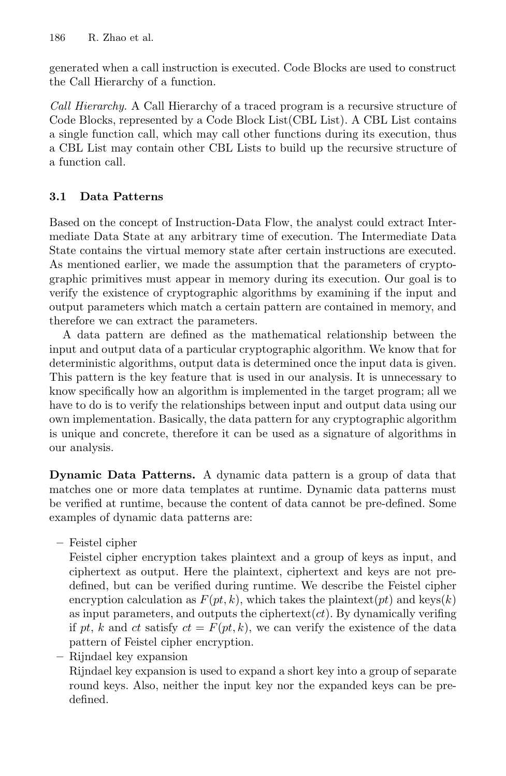generated when a call instruction is executed. Code Blocks are used to construct the Call Hierarchy of a function.

*Call Hierarchy.* A Call Hierarchy of a traced program is a recursive structure of Code Blocks, represented by a Code Block List(CBL List). A CBL List contains a single function call, which may call other functions during its execution, thus a CBL List may contain other CBL Lists to build up the recursive structure of a function call.

## **3.1 Data Patterns**

Based on the concept of Instruction-Data Flow, the analyst could extract Intermediate Data State at any arbitrary time of execution. The Intermediate Data State contains the virtual memory state after certain instructions are executed. As mentioned earlier, we made the assumption that the parameters of cryptographic primitives must appear in memory during its execution. Our goal is to verify the existence of cryptographic algorithms by examining if the input and output parameters which match a certain pattern are contained in memory, and therefore we can extract the parameters.

A data pattern are defined as the mathematical relationship between the input and output data of a particular cryptographic algorithm. We know that for deterministic algorithms, output data is determined once the input data is given. This pattern is the key feature that is used in our analysis. It is unnecessary to know specifically how an algorithm is implemented in the target program; all we have to do is to verify the relationships between input and output data using our own implementation. Basically, the data pattern for any cryptographic algorithm is unique and concrete, therefore it can be used as a signature of algorithms in our analysis.

**Dynamic Data Patterns.** A dynamic data pattern is a group of data that matches one or more data templates at runtime. Dynamic data patterns must be verified at runtime, because the content of data cannot be pre-defined. Some examples of dynamic data patterns are:

**–** Feistel cipher

Feistel cipher encryption takes plaintext and a group of keys as input, and ciphertext as output. Here the plaintext, ciphertext and keys are not predefined, but can be verified during runtime. We describe the Feistel cipher encryption calculation as  $F(pt, k)$ , which takes the plaintext $(pt)$  and keys $(k)$ as input parameters, and outputs the ciphertext $(ct)$ . By dynamically verifing if pt, k and ct satisfy  $ct = F(pt, k)$ , we can verify the existence of the data pattern of Feistel cipher encryption.

**–** Rijndael key expansion

Rijndael key expansion is used to expand a short key into a group of separate round keys. Also, neither the input key nor the expanded keys can be predefined.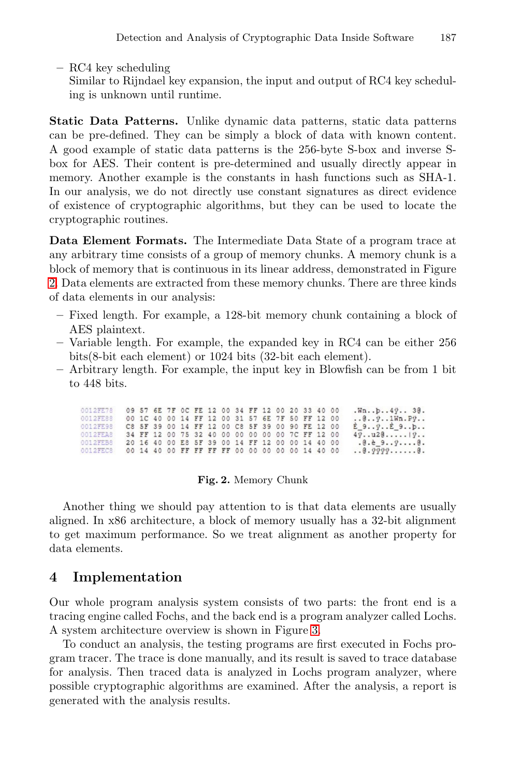**–** RC4 key scheduling

Similar to Rijndael key expansion, the input and output of RC4 key scheduling is unknown until runtime.

**Static Data Patterns.** Unlike dynamic data patterns, static data patterns can be pre-defined. They can be simply a block of data with known content. A good example of static data patterns is the 256-byte S-box and inverse Sbox for AES. Their content is pre-determined and usually directly appear in memory. Another example is the constants in hash functions such as SHA-1. In our analysis, we do not directly use constant signatures as direct evidence of existence of cryptographic algorithms, but they can be used to locate the cryptographic routines.

**Data Element Formats.** The Intermediate Data State of a program trace at any arbitrary time consists of a group of memory chunks. A memory chunk is a block of memory that is continuous in its linear address, demonstrated in Figure 2. Data elements are extracted from these memory chunks. There are three kinds of data elements in our analysis:

- **–** Fixed length. For example, a 128-bit memory chunk containing a block of AES plaintext.
- **–** Variable length. For example, the expanded key in RC4 can be either 256 bits(8-bit each element) or 1024 bits (32-bit each element).
- **–** Arbitrary length. For example, the input key in Blowfish can be from 1 bit to 448 bits.

| 0012FE78  | 09 57 6E 7F 0C FE 12 00 34 FF 12 00 20 33 40 00    |  |  |  |  |  |  |                                                 |  | $.\n%$ n $b. . 49. . 30.$ |
|-----------|----------------------------------------------------|--|--|--|--|--|--|-------------------------------------------------|--|---------------------------|
| 0012FE88  |                                                    |  |  |  |  |  |  | 00 1C 40 00 14 FF 12 00 31 57 6E 7F 50 FF 12 00 |  | $ @91$ Wn. $Py$           |
| 0012FE98  | C8 5F 39 00 14 FF 12 00 C8 5F 39 00 90 FE 12 00    |  |  |  |  |  |  |                                                 |  | $E_{9yE_{9b}$             |
| OOI 2FFA8 | 34 FF 12 00 75 32 40 00 00 00 00 00 00 7C FF 12 00 |  |  |  |  |  |  |                                                 |  | 49.12819                  |
| 0012FEB8  | 20 16 40 00 E8 5F 39 00 14 FF 12 00 00 14 40 00    |  |  |  |  |  |  |                                                 |  | .0.0.9.070.               |
| 0012FEC8  | 00 14 40 00 FF FF FF FF 00 00 00 00 00 14 40 00    |  |  |  |  |  |  |                                                 |  | @.9999 @.                 |

#### **Fig. 2.** Memory Chunk

Another thing we should pay attention to is that data elements are usually aligned. In x86 architecture, a [blo](#page-6-0)ck of memory usually has a 32-bit alignment to get maximum performance. So we treat alignment as another property for data elements.

#### **4 Implementation**

Our whole program analysis system consists of two parts: the front end is a tracing engine called Fochs, and the back end is a program analyzer called Lochs. A system architecture overview is shown in Figure 3.

To conduct an analysis, the testing programs are first executed in Fochs program tracer. The trace is done manually, and its result is saved to trace database for analysis. Then traced data is analyzed in Lochs program analyzer, where possible cryptographic algorithms are examined. After the analysis, a report is generated with the analysis results.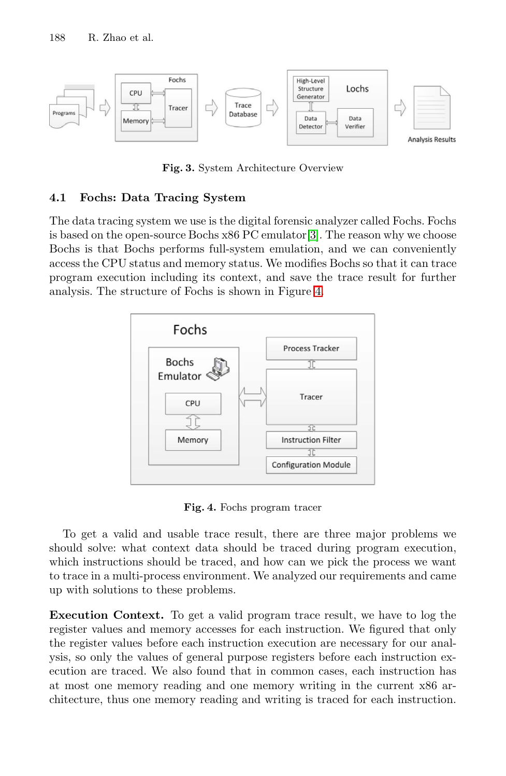<span id="page-6-0"></span>

**Fig. 3.** System Architecture Overview

#### **4.1 Fochs: Data Tracing System**

The data tracing system we use is the digital forensic analyzer called Fochs. Fochs is based on the open-source Bochs x86 PC emulator[3]. The reason why we choose Bochs is that Bochs performs full-system emulation, and we can conveniently access the CPU status and memory status. We modifies Bochs so that it can trace program execution including its context, and save the trace result for further analysis. The structure of Fochs is shown in Figure 4.



**Fig. 4.** Fochs program tracer

To get a valid and usable trace result, there are three major problems we should solve: what context data should be traced during program execution, which instructions should be traced, and how can we pick the process we want to trace in a multi-process environment. We analyzed our requirements and came up with solutions to these problems.

**Execution Context.** To get a valid program trace result, we have to log the register values and memory accesses for each instruction. We figured that only the register values before each instruction execution are necessary for our analysis, so only the values of general purpose registers before each instruction execution are traced. We also found that in common cases, each instruction has at most one memory reading and one memory writing in the current x86 architecture, thus one memory reading and writing is traced for each instruction.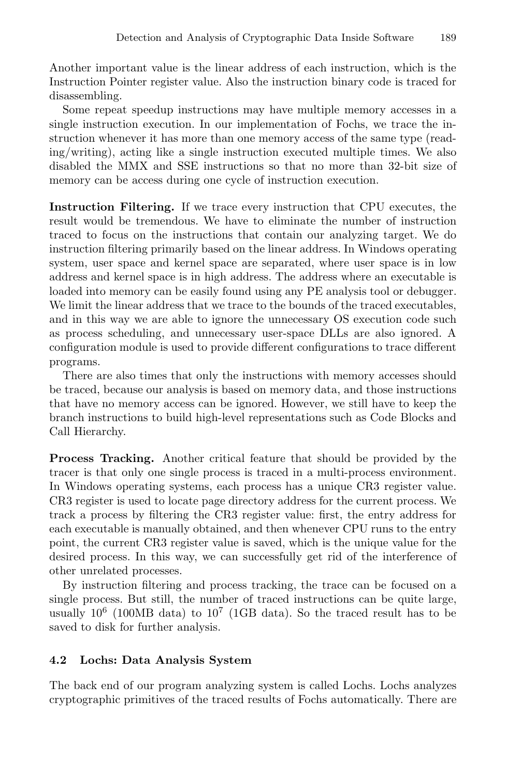Another important value is the linear address of each instruction, which is the Instruction Pointer register value. Also the instruction binary code is traced for disassembling.

Some repeat speedup instructions may have multiple memory accesses in a single instruction execution. In our implementation of Fochs, we trace the instruction whenever it has more than one memory access of the same type (reading/writing), acting like a single instruction executed multiple times. We also disabled the MMX and SSE instructions so that no more than 32-bit size of memory can be access during one cycle of instruction execution.

**Instruction Filtering.** If we trace every instruction that CPU executes, the result would be tremendous. We have to eliminate the number of instruction traced to focus on the instructions that contain our analyzing target. We do instruction filtering primarily based on the linear address. In Windows operating system, user space and kernel space are separated, where user space is in low address and kernel space is in high address. The address where an executable is loaded into memory can be easily found using any PE analysis tool or debugger. We limit the linear address that we trace to the bounds of the traced executables, and in this way we are able to ignore the unnecessary OS execution code such as process scheduling, and unnecessary user-space DLLs are also ignored. A configuration module is used to provide different configurations to trace different programs.

There are also times that only the instructions with memory accesses should be traced, because our analysis is based on memory data, and those instructions that have no memory access can be ignored. However, we still have to keep the branch instructions to build high-level representations such as Code Blocks and Call Hierarchy.

**Process Tracking.** Another critical feature that should be provided by the tracer is that only one single process is traced in a multi-process environment. In Windows operating systems, each process has a unique CR3 register value. CR3 register is used to locate page directory address for the current process. We track a process by filtering the CR3 register value: first, the entry address for each executable is manually obtained, and then whenever CPU runs to the entry point, the current CR3 register value is saved, which is the unique value for the desired process. In this way, we can successfully get rid of the interference of other unrelated processes.

By instruction filtering and process tracking, the trace can be focused on a single process. But still, the number of traced instructions can be quite large, usually  $10^6$  (100MB data) to  $10^7$  (1GB data). So the traced result has to be saved to disk for further analysis.

#### **4.2 Lochs: Data Analysis System**

The back end of our program analyzing system is called Lochs. Lochs analyzes cryptographic primitives of the traced results of Fochs automatically. There are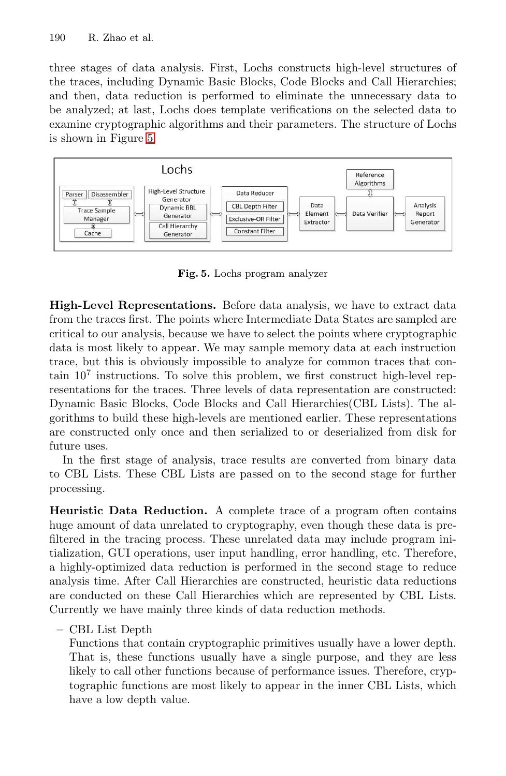three stages of data analysis. First, Lochs constructs high-level structures of the traces, including Dynamic Basic Blocks, Code Blocks and Call Hierarchies; and then, data reduction is performed to eliminate the unnecessary data to be analyzed; at last, Lochs does template verifications on the selected data to examine cryptographic algorithms and their parameters. The structure of Lochs is shown in Figure 5.

<span id="page-8-0"></span>

**Fig. 5.** Lochs program analyzer

**High-Level Representations.** Before data analysis, we have to extract data from the traces first. The points where Intermediate Data States are sampled are critical to our analysis, because we have to select the points where cryptographic data is most likely to appear. We may sample memory data at each instruction trace, but this is obviously impossible to analyze for common traces that contain  $10^7$  instructions. To solve this problem, we first construct high-level representations for the traces. Three levels of data representation are constructed: Dynamic Basic Blocks, Code Blocks and Call Hierarchies(CBL Lists). The algorithms to build these high-levels are mentioned earlier. These representations are constructed only once and then serialized to or deserialized from disk for future uses.

In the first stage of analysis, trace results are converted from binary data to CBL Lists. These CBL Lists are passed on to the second stage for further processing.

**Heuristic Data Reduction.** A complete trace of a program often contains huge amount of data unrelated to cryptography, even though these data is prefiltered in the tracing process. These unrelated data may include program initialization, GUI operations, user input handling, error handling, etc. Therefore, a highly-optimized data reduction is performed in the second stage to reduce analysis time. After Call Hierarchies are constructed, heuristic data reductions are conducted on these Call Hierarchies which are represented by CBL Lists. Currently we have mainly three kinds of data reduction methods.

**–** CBL List Depth

Functions that contain cryptographic primitives usually have a lower depth. That is, these functions usually have a single purpose, and they are less likely to call other functions because of performance issues. Therefore, cryptographic functions are most likely to appear in the inner CBL Lists, which have a low depth value.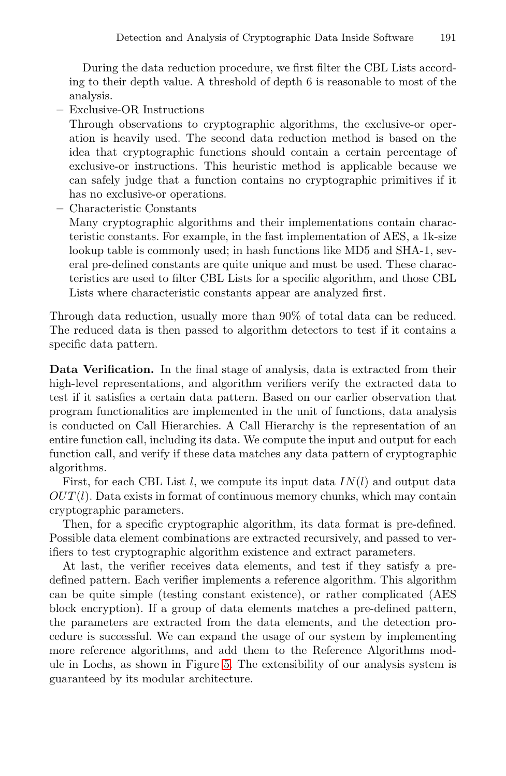During the data reduction procedure, we first filter the CBL Lists according to their depth value. A threshold of depth 6 is reasonable to most of the analysis.

**–** Exclusive-OR Instructions

Through observations to cryptographic algorithms, the exclusive-or operation is heavily used. The second data reduction method is based on the idea that cryptographic functions should contain a certain percentage of exclusive-or instructions. This heuristic method is applicable because we can safely judge that a function contains no cryptographic primitives if it has no exclusive-or operations.

**–** Characteristic Constants

Many cryptographic algorithms and their implementations contain characteristic constants. For example, in the fast implementation of AES, a 1k-size lookup table is commonly used; in hash functions like MD5 and SHA-1, several pre-defined constants are quite unique and must be used. These characteristics are used to filter CBL Lists for a specific algorithm, and those CBL Lists where characteristic constants appear are analyzed first.

Through data reduction, usually more than 90% of total data can be reduced. The reduced data is then passed to algorithm detectors to test if it contains a specific data pattern.

**Data Verification.** In the final stage of analysis, data is extracted from their high-level representations, and algorithm verifiers verify the extracted data to test if it satisfies a certain data pattern. Based on our earlier observation that program functionalities are implemented in the unit of functions, data analysis is conducted on Call Hierarchies. A Call Hierarchy is the representation of an entire function call, including its data. We compute the input and output for each function call, and verify if these data matches any data pattern of cryptographic algorithms.

First, for each CBL List *l*, we compute its input data *IN*(*l*) and output data *OUT* (*l*). Data exists in format of continuous memory chunks, which may contain cryptographic parameters.

Then, for a specific cryptographic algorithm, its data format is pre-defined. Possible data element combinations are extracted recursively, and passed to verifiers to test cr[yp](#page-8-0)tographic algorithm existence and extract parameters.

At last, the verifier receives data elements, and test if they satisfy a predefined pattern. Each verifier implements a reference algorithm. This algorithm can be quite simple (testing constant existence), or rather complicated (AES block encryption). If a group of data elements matches a pre-defined pattern, the parameters are extracted from the data elements, and the detection procedure is successful. We can expand the usage of our system by implementing more reference algorithms, and add them to the Reference Algorithms module in Lochs, as shown in Figure 5. The extensibility of our analysis system is guaranteed by its modular architecture.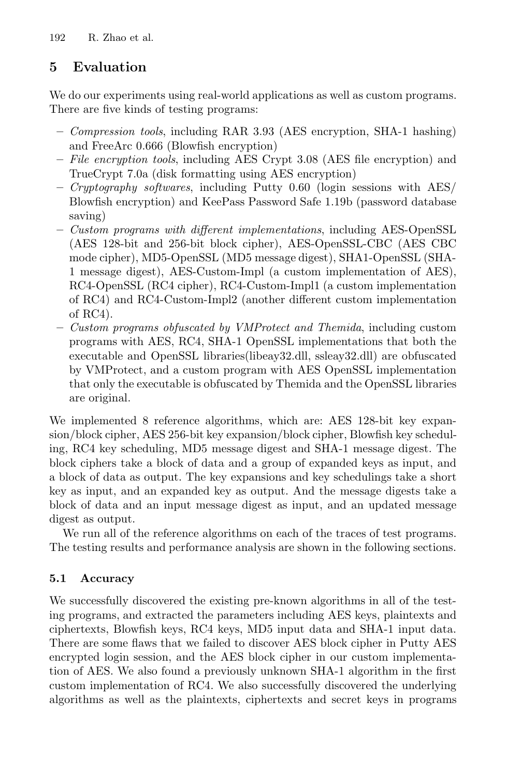## **5 Evaluation**

We do our experiments using real-world applications as well as custom programs. There are five kinds of testing programs:

- **–** *Compression tools*, including RAR 3.93 (AES encryption, SHA-1 hashing) and FreeArc 0.666 (Blowfish encryption)
- **–** *File encryption tools*, including AES Crypt 3.08 (AES file encryption) and TrueCrypt 7.0a (disk formatting using AES encryption)
- **–** *Cryptography softwares*, including Putty 0.60 (login sessions with AES/ Blowfish encryption) and KeePass Password Safe 1.19b (password database saving)
- **–** *Custom programs with different implementations*, including AES-OpenSSL (AES 128-bit and 256-bit block cipher), AES-OpenSSL-CBC (AES CBC mode cipher), MD5-OpenSSL (MD5 message digest), SHA1-OpenSSL (SHA-1 message digest), AES-Custom-Impl (a custom implementation of AES), RC4-OpenSSL (RC4 cipher), RC4-Custom-Impl1 (a custom implementation of RC4) and RC4-Custom-Impl2 (another different custom implementation of RC4).
- **–** *Custom programs obfuscated by VMProtect and Themida*, including custom programs with AES, RC4, SHA-1 OpenSSL implementations that both the executable and OpenSSL libraries(libeay32.dll, ssleay32.dll) are obfuscated by VMProtect, and a custom program with AES OpenSSL implementation that only the executable is obfuscated by Themida and the OpenSSL libraries are original.

We implemented 8 reference algorithms, which are: AES 128-bit key expansion/block cipher, AES 256-bit key expansion/block cipher, Blowfish key scheduling, RC4 key scheduling, MD5 message digest and SHA-1 message digest. The block ciphers take a block of data and a group of expanded keys as input, and a block of data as output. The key expansions and key schedulings take a short key as input, and an expanded key as output. And the message digests take a block of data and an input message digest as input, and an updated message digest as output.

We run all of the reference algorithms on each of the traces of test programs. The testing results and performance analysis are shown in the following sections.

## **5.1 Accuracy**

We successfully discovered the existing pre-known algorithms in all of the testing programs, and extracted the parameters including AES keys, plaintexts and ciphertexts, Blowfish keys, RC4 keys, MD5 input data and SHA-1 input data. There are some flaws that we failed to discover AES block cipher in Putty AES encrypted login session, and the AES block cipher in our custom implementation of AES. We also found a previously unknown SHA-1 algorithm in the first custom implementation of RC4. We also successfully discovered the underlying algorithms as well as the plaintexts, ciphertexts and secret keys in programs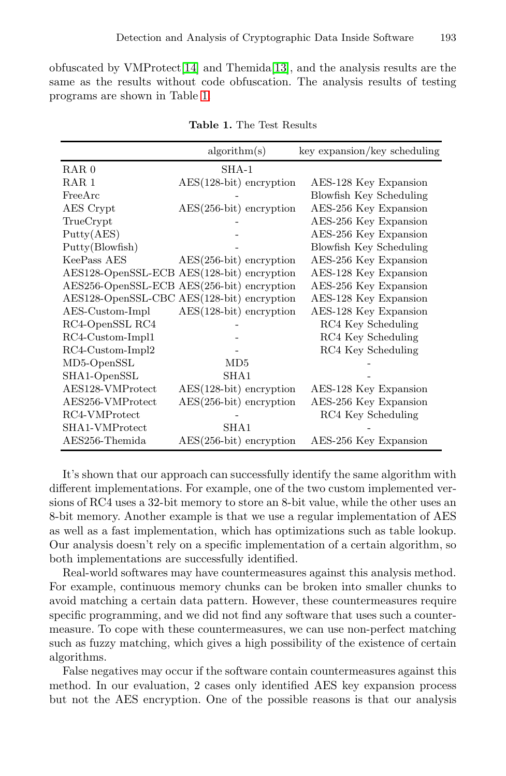obfuscated by VMProtect[14] and Themida[13], and the analysis results are the same as the results without code obfuscation. The analysis results of testing programs are shown in Table 1.

|                     | algorithm(s)                               | key expansion/key scheduling |
|---------------------|--------------------------------------------|------------------------------|
| $RAR$ 0             | $SHA-1$                                    |                              |
| RAR <sub>1</sub>    | $\text{AES}(128-\text{bit})$ encryption    | AES-128 Key Expansion        |
| FreeArc             |                                            | Blowfish Key Scheduling      |
| AES Crypt           | $\text{AES}(256-\text{bit})$ encryption    | AES-256 Key Expansion        |
| TrueCrypt           |                                            | AES-256 Key Expansion        |
| Putty(AES)          |                                            | AES-256 Key Expansion        |
| Putty(Blowfish)     |                                            | Blowfish Key Scheduling      |
| KeePass AES         | $\text{AES}(256\text{-bit})$ encryption    | AES-256 Key Expansion        |
|                     | AES128-OpenSSL-ECB AES(128-bit) encryption | AES-128 Key Expansion        |
|                     | AES256-OpenSSL-ECB AES(256-bit) encryption | AES-256 Key Expansion        |
|                     | AES128-OpenSSL-CBC AES(128-bit) encryption | AES-128 Key Expansion        |
| $AES$ -Custom-Impl  | $\text{AES}(128-\text{bit})$ encryption    | AES-128 Key Expansion        |
| RC4-OpenSSL RC4     |                                            | RC4 Key Scheduling           |
| RC4-Custom-Impl1    |                                            | RC4 Key Scheduling           |
| $RC4$ -Custom-Impl2 |                                            | RC4 Key Scheduling           |
| MD5-OpenSSL         | MD5                                        |                              |
| SHA1-OpenSSL        | SHA1                                       |                              |
| AES128-VMProtect    | $\text{AES}(128-\text{bit})$ encryption    | AES-128 Key Expansion        |
| AES256-VMProtect    | $AES(256-bit)$ encryption                  | AES-256 Key Expansion        |
| RC4-VMProtect       |                                            | RC4 Key Scheduling           |
| SHA1-VMProtect      | SHA <sub>1</sub>                           |                              |
| AES256-Themida      | $AES(256-bit)$ encryption                  | AES-256 Key Expansion        |

**Table 1.** The Test Results

It's shown that our approach can successfully identify the same algorithm with different implementations. For example, one of the two custom implemented versions of RC4 uses a 32-bit memory to store an 8-bit value, while the other uses an 8-bit memory. Another example is that we use a regular implementation of AES as well as a fast implementation, which has optimizations such as table lookup. Our analysis doesn't rely on a specific implementation of a certain algorithm, so both implementations are successfully identified.

Real-world softwares may have countermeasures against this analysis method. For example, continuous memory chunks can be broken into smaller chunks to avoid matching a certain data pattern. However, these countermeasures require specific programming, and we did not find any software that uses such a countermeasure. To cope with these countermeasures, we can use non-perfect matching such as fuzzy matching, which gives a high possibility of the existence of certain algorithms.

False negatives may occur if the software contain countermeasures against this method. In our evaluation, 2 cases only identified AES key expansion process but not the AES encryption. One of the possible reasons is that our analysis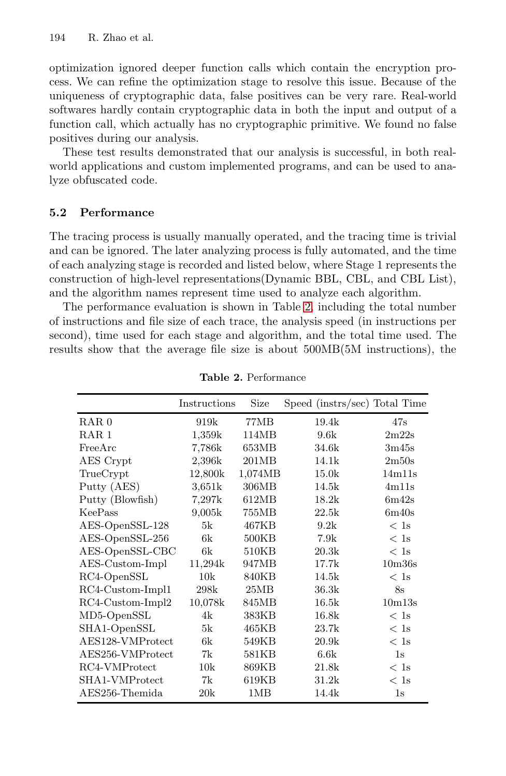optimization ignored deeper function calls which contain the encryption process. We can refine the optimization stage to resolve this issue. Because of the uniqueness of cryptographic data, false positives can be very rare. Real-world softwares hardly contain cryptographic data in both the input and output of a function call, which actually has no cryptographic primitive. We found no false positives during our analysis.

These test results demonstrated that our analysis is successful, in both realworld applications and custom implemented programs, and can be used to analyze obfuscated code.

#### **5.2 Performance**

The tracing process is usually manually operated, and the tracing time is trivial and can be ignored. The later analyzing process is fully automated, and the time of each analyzing stage is recorded and listed below, where Stage 1 represents the construction of high-level representations(Dynamic BBL, CBL, and CBL List), and the algorithm names represent time used to analyze each algorithm.

The performance evaluation is shown in Table 2, including the total number of instructions and file size of each trace, the analysis speed (in instructions per second), time used for each stage and algorithm, and the total time used. The results show that the average file size is about 500MB(5M instructions), the

|                     | Instructions | Size    | Speed (instrs/sec) Total Time |                    |
|---------------------|--------------|---------|-------------------------------|--------------------|
| RAR0                | 919k         | 77MB    | 19.4k                         | 47s                |
| RAR 1               | 1.359k       | 114MB   | 9.6k                          | 2m22s              |
| FreeArc             | 7,786k       | 653MB   | 34.6k                         | 3m45s              |
| AES Crypt           | 2,396k       | 201MB   | 14.1k                         | 2m50s              |
| TrueCrypt           | 12,800k      | 1,074MB | 15.0k                         | 14m11s             |
| Putty (AES)         | 3,651k       | 306MB   | 14.5k                         | 4m11s              |
| Putty (Blowfish)    | 7,297k       | 612MB   | 18.2k                         | 6m42s              |
| KeePass             | 9,005k       | 755MB   | 22.5k                         | 6m40s              |
| AES-OpenSSL-128     | 5k           | 467KB   | 9.2k                          | < 1s               |
| AES-OpenSSL-256     | 6k           | 500KB   | 7.9k                          | < 1s               |
| AES-OpenSSL-CBC     | 6k           | 510KB   | 20.3k                         | < 1s               |
| AES-Custom-Impl     | 11,294k      | 947MB   | 17.7k                         | 10 <sub>m36s</sub> |
| RC4-OpenSSL         | 10k          | 840KB   | 14.5k                         | < 1s               |
| RC4-Custom-Impl1    | 298k         | 25MB    | 36.3k                         | 8s                 |
| $RC4$ -Custom-Impl2 | 10,078k      | 845MB   | 16.5k                         | 10m13s             |
| $MD5$ -OpenSSL      | 4k           | 383KB   | 16.8k                         | < 1s               |
| SHA1-OpenSSL        | 5k           | 465KB   | 23.7k                         | < 1s               |
| AES128-VMProtect    | 6k           | 549KB   | 20.9k                         | < 1s               |
| AES256-VMProtect    | 7k           | 581KB   | 6.6k                          | 1s                 |
| RC4-VMProtect       | 10k          | 869KB   | 21.8k                         | < 1s               |
| SHA1-VMProtect      | 7k           | 619KB   | 31.2k                         | < 1s               |
| AES256-Themida      | 20k          | 1MB     | 14.4k                         | 1s                 |

**Table 2.** Performance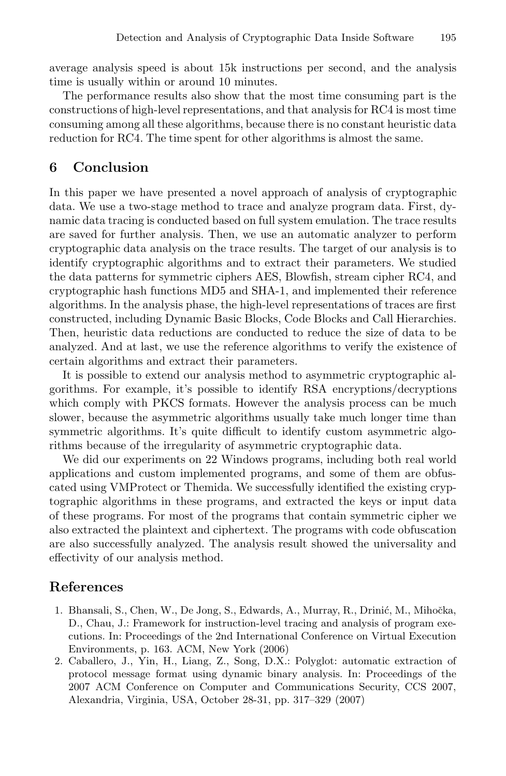average analysis speed is about 15k instructions per second, and the analysis time is usually within or around 10 minutes.

The performance results also show that the most time consuming part is the constructions of high-level representations, and that analysis for RC4 is most time consuming among all these algorithms, because there is no constant heuristic data reduction for RC4. The time spent for other algorithms is almost the same.

## **6 Conclusion**

In this paper we have presented a novel approach of analysis of cryptographic data. We use a two-stage method to trace and analyze program data. First, dynamic data tracing is conducted based on full system emulation. The trace results are saved for further analysis. Then, we use an automatic analyzer to perform cryptographic data analysis on the trace results. The target of our analysis is to identify cryptographic algorithms and to extract their parameters. We studied the data patterns for symmetric ciphers AES, Blowfish, stream cipher RC4, and cryptographic hash functions MD5 and SHA-1, and implemented their reference algorithms. In the analysis phase, the high-level representations of traces are first constructed, including Dynamic Basic Blocks, Code Blocks and Call Hierarchies. Then, heuristic data reductions are conducted to reduce the size of data to be analyzed. And at last, we use the reference algorithms to verify the existence of certain algorithms and extract their parameters.

It is possible to extend our analysis method to asymmetric cryptographic algorithms. For example, it's possible to identify RSA encryptions/decryptions which comply with PKCS formats. However the analysis process can be much slower, because the asymmetric algorithms usually take much longer time than symmetric algorithms. It's quite difficult to identify custom asymmetric algorithms because of the irregularity of asymmetric cryptographic data.

We did our experiments on 22 Windows programs, including both real world applications and custom implemented programs, and some of them are obfuscated using VMProtect or Themida. We successfully identified the existing cryptographic algorithms in these programs, and extracted the keys or input data of these programs. For most of the programs that contain symmetric cipher we also extracted the plaintext and ciphertext. The programs with code obfuscation are also successfully analyzed. The analysis result showed the universality and effectivity of our analysis method.

## <span id="page-13-1"></span>**References**

- 1. Bhansali, S., Chen, W., De Jong, S., Edwards, A., Murray, R., Drinić, M., Mihočka, D., Chau, J.: Framework for instruction-level tracing and analysis of program executions. In: Proceedings of the 2nd International Conference on Virtual Execution Environments, p. 163. ACM, New York (2006)
- <span id="page-13-0"></span>2. Caballero, J., Yin, H., Liang, Z., Song, D.X.: Polyglot: automatic extraction of protocol message format using dynamic binary analysis. In: Proceedings of the 2007 ACM Conference on Computer and Communications Security, CCS 2007, Alexandria, Virginia, USA, October 28-31, pp. 317–329 (2007)